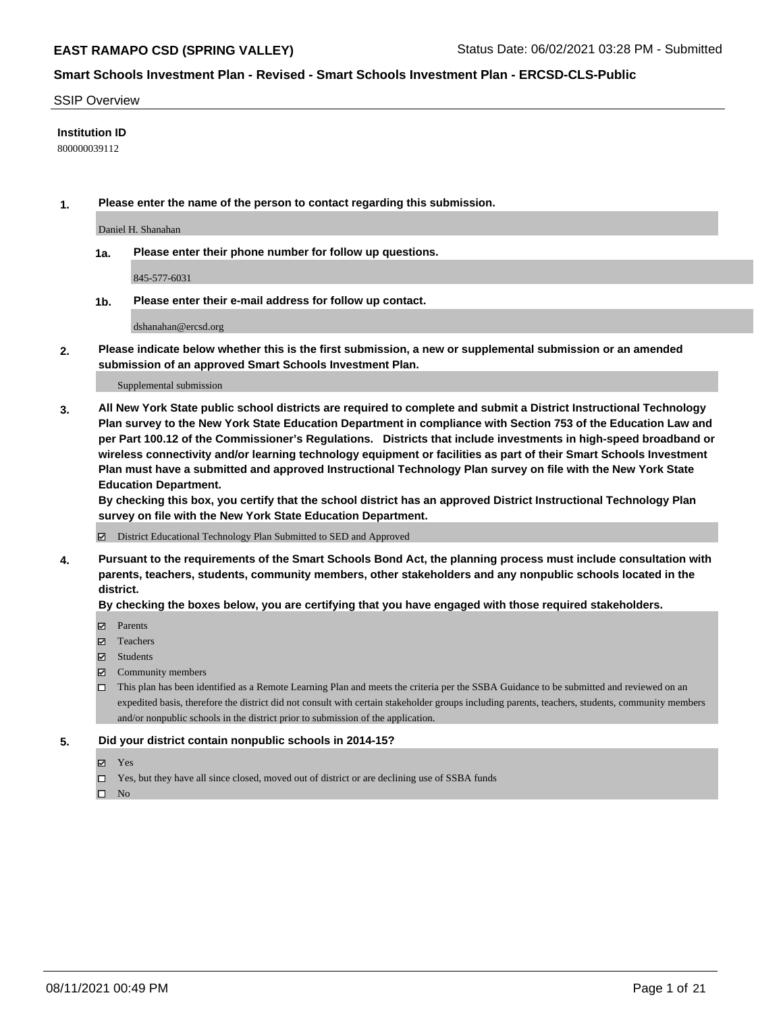### SSIP Overview

### **Institution ID**

800000039112

**1. Please enter the name of the person to contact regarding this submission.**

Daniel H. Shanahan

**1a. Please enter their phone number for follow up questions.**

845-577-6031

**1b. Please enter their e-mail address for follow up contact.**

dshanahan@ercsd.org

**2. Please indicate below whether this is the first submission, a new or supplemental submission or an amended submission of an approved Smart Schools Investment Plan.**

#### Supplemental submission

**3. All New York State public school districts are required to complete and submit a District Instructional Technology Plan survey to the New York State Education Department in compliance with Section 753 of the Education Law and per Part 100.12 of the Commissioner's Regulations. Districts that include investments in high-speed broadband or wireless connectivity and/or learning technology equipment or facilities as part of their Smart Schools Investment Plan must have a submitted and approved Instructional Technology Plan survey on file with the New York State Education Department.** 

**By checking this box, you certify that the school district has an approved District Instructional Technology Plan survey on file with the New York State Education Department.**

District Educational Technology Plan Submitted to SED and Approved

**4. Pursuant to the requirements of the Smart Schools Bond Act, the planning process must include consultation with parents, teachers, students, community members, other stakeholders and any nonpublic schools located in the district.** 

### **By checking the boxes below, you are certifying that you have engaged with those required stakeholders.**

- **Parents**
- Teachers
- Students
- $\boxtimes$  Community members
- This plan has been identified as a Remote Learning Plan and meets the criteria per the SSBA Guidance to be submitted and reviewed on an expedited basis, therefore the district did not consult with certain stakeholder groups including parents, teachers, students, community members and/or nonpublic schools in the district prior to submission of the application.
- **5. Did your district contain nonpublic schools in 2014-15?**
	- Yes
	- □ Yes, but they have all since closed, moved out of district or are declining use of SSBA funds

 $\Box$  No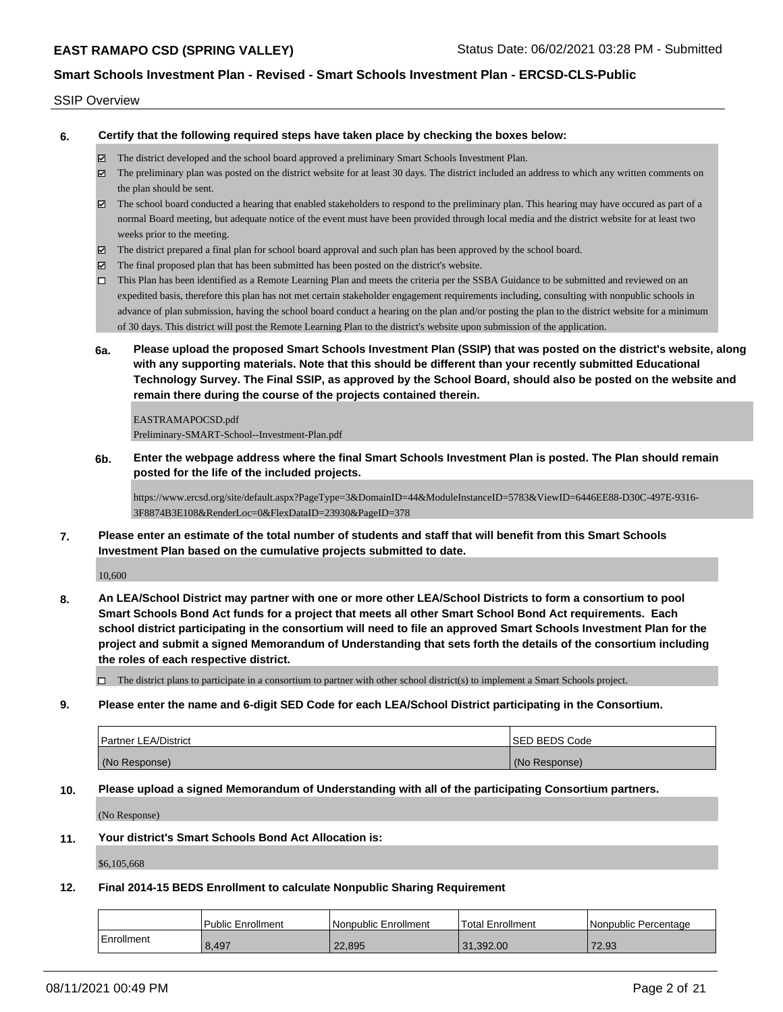#### SSIP Overview

**6. Certify that the following required steps have taken place by checking the boxes below:**

- The district developed and the school board approved a preliminary Smart Schools Investment Plan.
- The preliminary plan was posted on the district website for at least 30 days. The district included an address to which any written comments on the plan should be sent.
- The school board conducted a hearing that enabled stakeholders to respond to the preliminary plan. This hearing may have occured as part of a normal Board meeting, but adequate notice of the event must have been provided through local media and the district website for at least two weeks prior to the meeting.
- The district prepared a final plan for school board approval and such plan has been approved by the school board.
- $\boxtimes$  The final proposed plan that has been submitted has been posted on the district's website.
- This Plan has been identified as a Remote Learning Plan and meets the criteria per the SSBA Guidance to be submitted and reviewed on an expedited basis, therefore this plan has not met certain stakeholder engagement requirements including, consulting with nonpublic schools in advance of plan submission, having the school board conduct a hearing on the plan and/or posting the plan to the district website for a minimum of 30 days. This district will post the Remote Learning Plan to the district's website upon submission of the application.
- **6a. Please upload the proposed Smart Schools Investment Plan (SSIP) that was posted on the district's website, along with any supporting materials. Note that this should be different than your recently submitted Educational Technology Survey. The Final SSIP, as approved by the School Board, should also be posted on the website and remain there during the course of the projects contained therein.**

EASTRAMAPOCSD.pdf Preliminary-SMART-School--Investment-Plan.pdf

**6b. Enter the webpage address where the final Smart Schools Investment Plan is posted. The Plan should remain posted for the life of the included projects.**

https://www.ercsd.org/site/default.aspx?PageType=3&DomainID=44&ModuleInstanceID=5783&ViewID=6446EE88-D30C-497E-9316- 3F8874B3E108&RenderLoc=0&FlexDataID=23930&PageID=378

**7. Please enter an estimate of the total number of students and staff that will benefit from this Smart Schools Investment Plan based on the cumulative projects submitted to date.**

10,600

**8. An LEA/School District may partner with one or more other LEA/School Districts to form a consortium to pool Smart Schools Bond Act funds for a project that meets all other Smart School Bond Act requirements. Each school district participating in the consortium will need to file an approved Smart Schools Investment Plan for the project and submit a signed Memorandum of Understanding that sets forth the details of the consortium including the roles of each respective district.**

 $\Box$  The district plans to participate in a consortium to partner with other school district(s) to implement a Smart Schools project.

**9. Please enter the name and 6-digit SED Code for each LEA/School District participating in the Consortium.**

| Partner LEA/District | <b>ISED BEDS Code</b> |
|----------------------|-----------------------|
| (No Response)        | (No Response)         |

**10. Please upload a signed Memorandum of Understanding with all of the participating Consortium partners.**

(No Response)

**11. Your district's Smart Schools Bond Act Allocation is:**

\$6,105,668

#### **12. Final 2014-15 BEDS Enrollment to calculate Nonpublic Sharing Requirement**

|            | Public Enrollment | Nonpublic Enrollment | Total Enrollment | Nonpublic Percentage |
|------------|-------------------|----------------------|------------------|----------------------|
| Enrollment | 8,497             | 22,895               | 31.392.00        | 72.93                |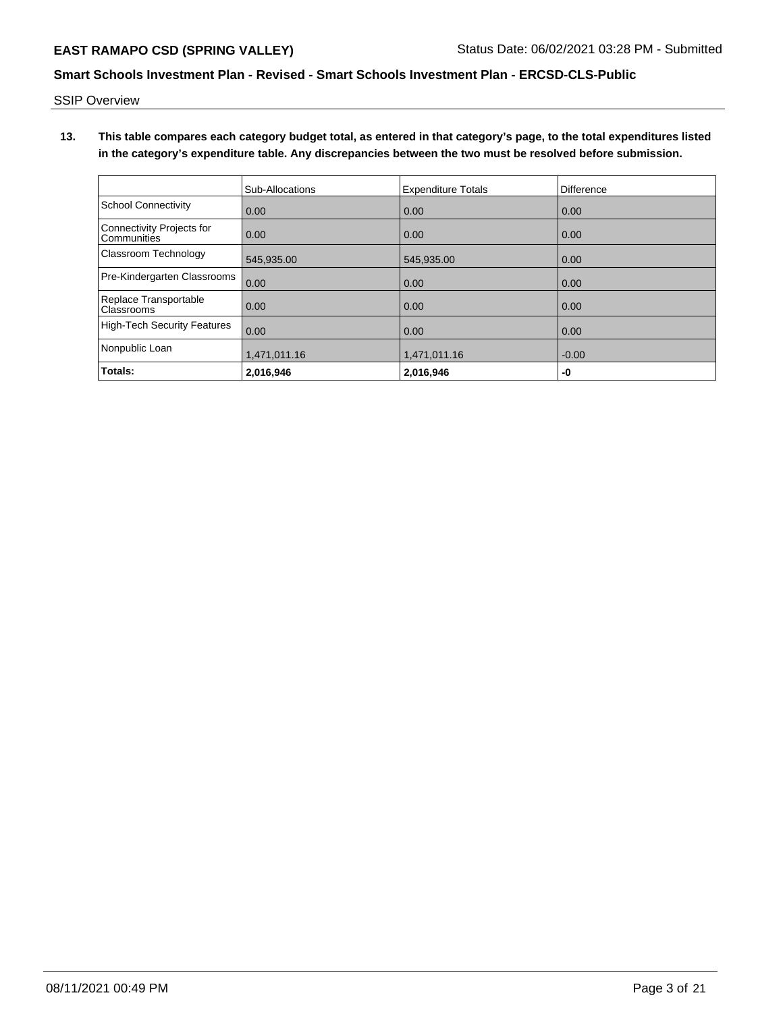SSIP Overview

**13. This table compares each category budget total, as entered in that category's page, to the total expenditures listed in the category's expenditure table. Any discrepancies between the two must be resolved before submission.**

|                                          | Sub-Allocations | <b>Expenditure Totals</b> | <b>Difference</b> |
|------------------------------------------|-----------------|---------------------------|-------------------|
| <b>School Connectivity</b>               | 0.00            | 0.00                      | 0.00              |
| Connectivity Projects for<br>Communities | 0.00            | 0.00                      | 0.00              |
| Classroom Technology                     | 545,935.00      | 545,935.00                | 0.00              |
| Pre-Kindergarten Classrooms              | 0.00            | 0.00                      | 0.00              |
| Replace Transportable<br>Classrooms      | 0.00            | 0.00                      | 0.00              |
| <b>High-Tech Security Features</b>       | 0.00            | 0.00                      | 0.00              |
| Nonpublic Loan                           | 1,471,011.16    | 1,471,011.16              | $-0.00$           |
| Totals:                                  | 2,016,946       | 2,016,946                 | -0                |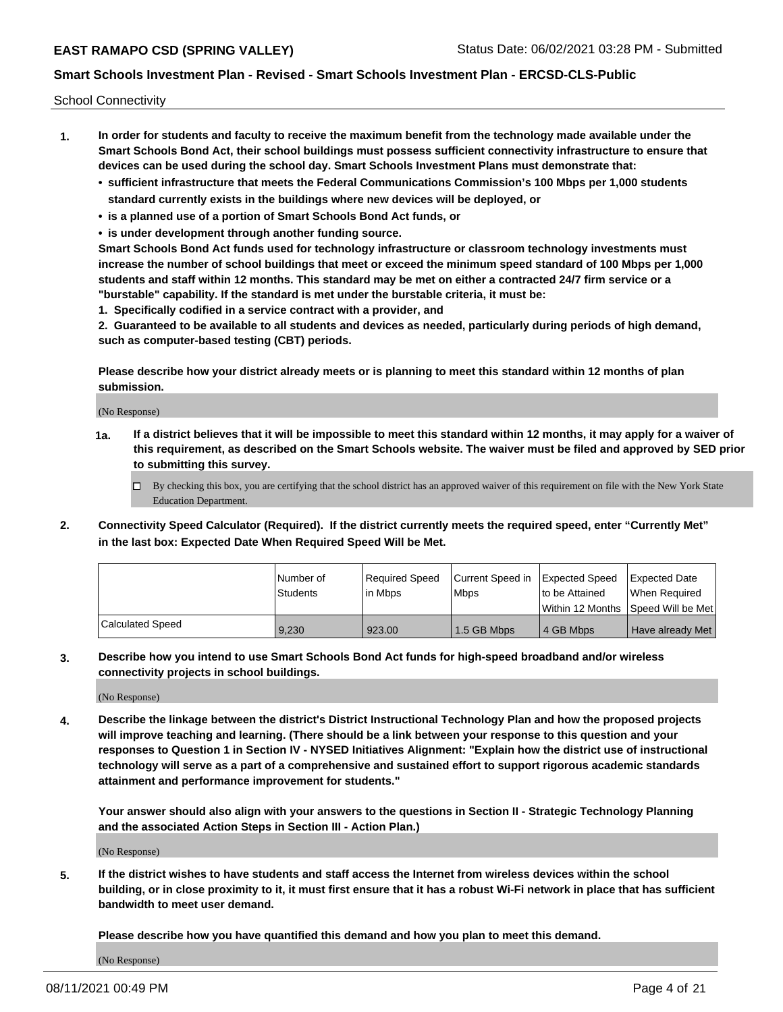School Connectivity

- **1. In order for students and faculty to receive the maximum benefit from the technology made available under the Smart Schools Bond Act, their school buildings must possess sufficient connectivity infrastructure to ensure that devices can be used during the school day. Smart Schools Investment Plans must demonstrate that:**
	- **• sufficient infrastructure that meets the Federal Communications Commission's 100 Mbps per 1,000 students standard currently exists in the buildings where new devices will be deployed, or**
	- **• is a planned use of a portion of Smart Schools Bond Act funds, or**
	- **• is under development through another funding source.**

**Smart Schools Bond Act funds used for technology infrastructure or classroom technology investments must increase the number of school buildings that meet or exceed the minimum speed standard of 100 Mbps per 1,000 students and staff within 12 months. This standard may be met on either a contracted 24/7 firm service or a "burstable" capability. If the standard is met under the burstable criteria, it must be:**

**1. Specifically codified in a service contract with a provider, and**

**2. Guaranteed to be available to all students and devices as needed, particularly during periods of high demand, such as computer-based testing (CBT) periods.**

**Please describe how your district already meets or is planning to meet this standard within 12 months of plan submission.**

(No Response)

**1a. If a district believes that it will be impossible to meet this standard within 12 months, it may apply for a waiver of this requirement, as described on the Smart Schools website. The waiver must be filed and approved by SED prior to submitting this survey.**

 $\Box$  By checking this box, you are certifying that the school district has an approved waiver of this requirement on file with the New York State Education Department.

**2. Connectivity Speed Calculator (Required). If the district currently meets the required speed, enter "Currently Met" in the last box: Expected Date When Required Speed Will be Met.**

|                  | l Number of     | Required Speed | Current Speed in | Expected Speed | <b>Expected Date</b>                    |
|------------------|-----------------|----------------|------------------|----------------|-----------------------------------------|
|                  | <b>Students</b> | lin Mbps       | <b>Mbps</b>      | to be Attained | When Reauired                           |
|                  |                 |                |                  |                | l Within 12 Months ISpeed Will be Met l |
| Calculated Speed | 9.230           | 923.00         | 1.5 GB Mbps      | 4 GB Mbps      | Have already Met                        |

**3. Describe how you intend to use Smart Schools Bond Act funds for high-speed broadband and/or wireless connectivity projects in school buildings.**

(No Response)

**4. Describe the linkage between the district's District Instructional Technology Plan and how the proposed projects will improve teaching and learning. (There should be a link between your response to this question and your responses to Question 1 in Section IV - NYSED Initiatives Alignment: "Explain how the district use of instructional technology will serve as a part of a comprehensive and sustained effort to support rigorous academic standards attainment and performance improvement for students."** 

**Your answer should also align with your answers to the questions in Section II - Strategic Technology Planning and the associated Action Steps in Section III - Action Plan.)**

(No Response)

**5. If the district wishes to have students and staff access the Internet from wireless devices within the school building, or in close proximity to it, it must first ensure that it has a robust Wi-Fi network in place that has sufficient bandwidth to meet user demand.**

**Please describe how you have quantified this demand and how you plan to meet this demand.**

(No Response)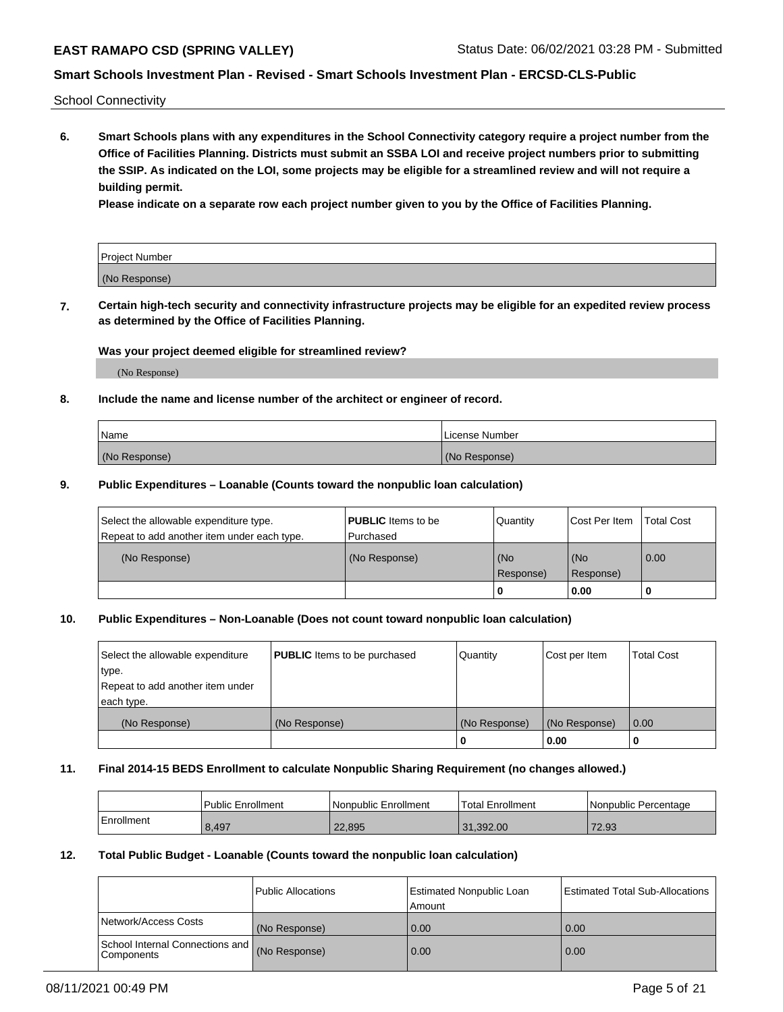School Connectivity

**6. Smart Schools plans with any expenditures in the School Connectivity category require a project number from the Office of Facilities Planning. Districts must submit an SSBA LOI and receive project numbers prior to submitting the SSIP. As indicated on the LOI, some projects may be eligible for a streamlined review and will not require a building permit.**

**Please indicate on a separate row each project number given to you by the Office of Facilities Planning.**

| Project Number |  |
|----------------|--|
| (No Response)  |  |

**7. Certain high-tech security and connectivity infrastructure projects may be eligible for an expedited review process as determined by the Office of Facilities Planning.**

### **Was your project deemed eligible for streamlined review?**

(No Response)

## **8. Include the name and license number of the architect or engineer of record.**

| Name          | License Number |
|---------------|----------------|
| (No Response) | (No Response)  |

### **9. Public Expenditures – Loanable (Counts toward the nonpublic loan calculation)**

| Select the allowable expenditure type.<br>Repeat to add another item under each type. | <b>PUBLIC</b> Items to be<br>l Purchased | Quantity           | Cost Per Item    | <b>Total Cost</b> |
|---------------------------------------------------------------------------------------|------------------------------------------|--------------------|------------------|-------------------|
| (No Response)                                                                         | (No Response)                            | l (No<br>Response) | (No<br>Response) | $\overline{0.00}$ |
|                                                                                       |                                          | 0                  | 0.00             |                   |

## **10. Public Expenditures – Non-Loanable (Does not count toward nonpublic loan calculation)**

| Select the allowable expenditure<br>type.<br>Repeat to add another item under<br>each type. | <b>PUBLIC</b> Items to be purchased | Quantity      | Cost per Item | <b>Total Cost</b> |
|---------------------------------------------------------------------------------------------|-------------------------------------|---------------|---------------|-------------------|
| (No Response)                                                                               | (No Response)                       | (No Response) | (No Response) | 0.00              |
|                                                                                             |                                     |               | 0.00          |                   |

#### **11. Final 2014-15 BEDS Enrollment to calculate Nonpublic Sharing Requirement (no changes allowed.)**

|            | Public Enrollment | Nonpublic Enrollment | 'Total Enrollment | l Nonpublic Percentage |
|------------|-------------------|----------------------|-------------------|------------------------|
| Enrollment | 8,497             | 22,895               | 31.392.00         | 72.93                  |

#### **12. Total Public Budget - Loanable (Counts toward the nonpublic loan calculation)**

|                                                      | Public Allocations | <b>Estimated Nonpublic Loan</b><br>Amount | Estimated Total Sub-Allocations |
|------------------------------------------------------|--------------------|-------------------------------------------|---------------------------------|
| Network/Access Costs                                 | (No Response)      | 0.00                                      | 0.00                            |
| School Internal Connections and<br><b>Components</b> | (No Response)      | 0.00                                      | 0.00                            |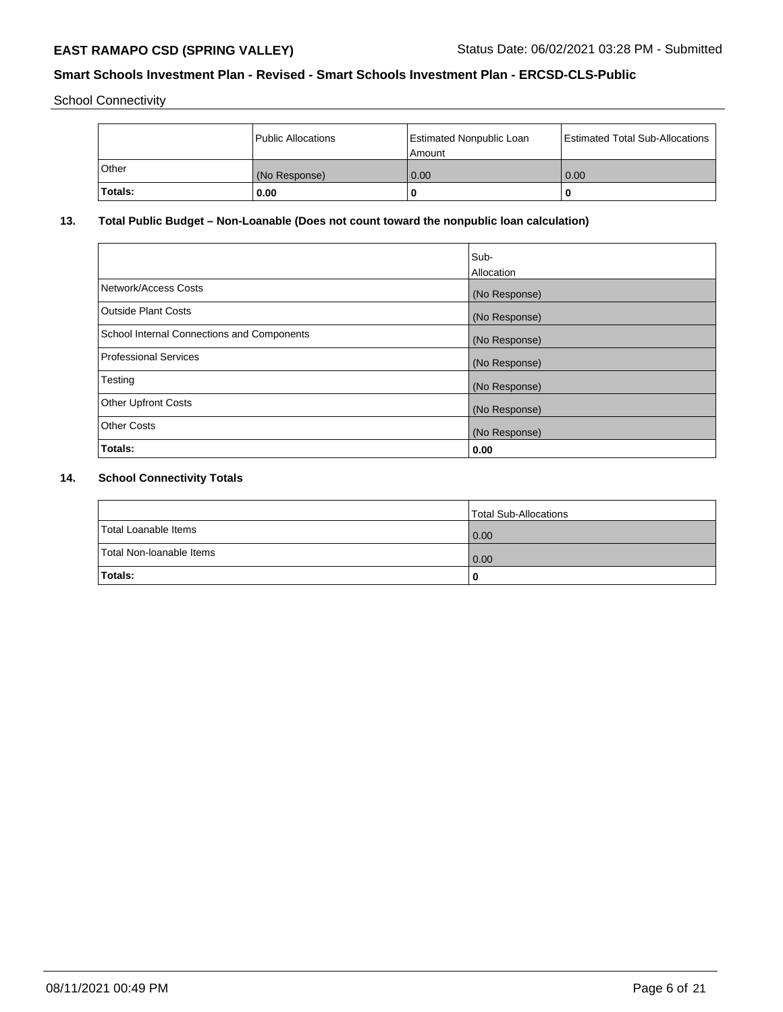School Connectivity

|              | Public Allocations | <b>Estimated Nonpublic Loan</b><br>Amount | <b>Estimated Total Sub-Allocations</b> |
|--------------|--------------------|-------------------------------------------|----------------------------------------|
| <b>Other</b> | (No Response)      | 0.00                                      | 0.00                                   |
| 'Totals:     | 0.00               |                                           |                                        |

# **13. Total Public Budget – Non-Loanable (Does not count toward the nonpublic loan calculation)**

|                                            | Sub-<br>Allocation |
|--------------------------------------------|--------------------|
| Network/Access Costs                       | (No Response)      |
| <b>Outside Plant Costs</b>                 | (No Response)      |
| School Internal Connections and Components | (No Response)      |
| Professional Services                      | (No Response)      |
| Testing                                    | (No Response)      |
| <b>Other Upfront Costs</b>                 | (No Response)      |
| <b>Other Costs</b>                         | (No Response)      |
| <b>Totals:</b>                             | 0.00               |
|                                            |                    |

# **14. School Connectivity Totals**

|                          | Total Sub-Allocations |
|--------------------------|-----------------------|
| Total Loanable Items     | $\overline{0.00}$     |
| Total Non-Ioanable Items | $\overline{0.00}$     |
| Totals:                  |                       |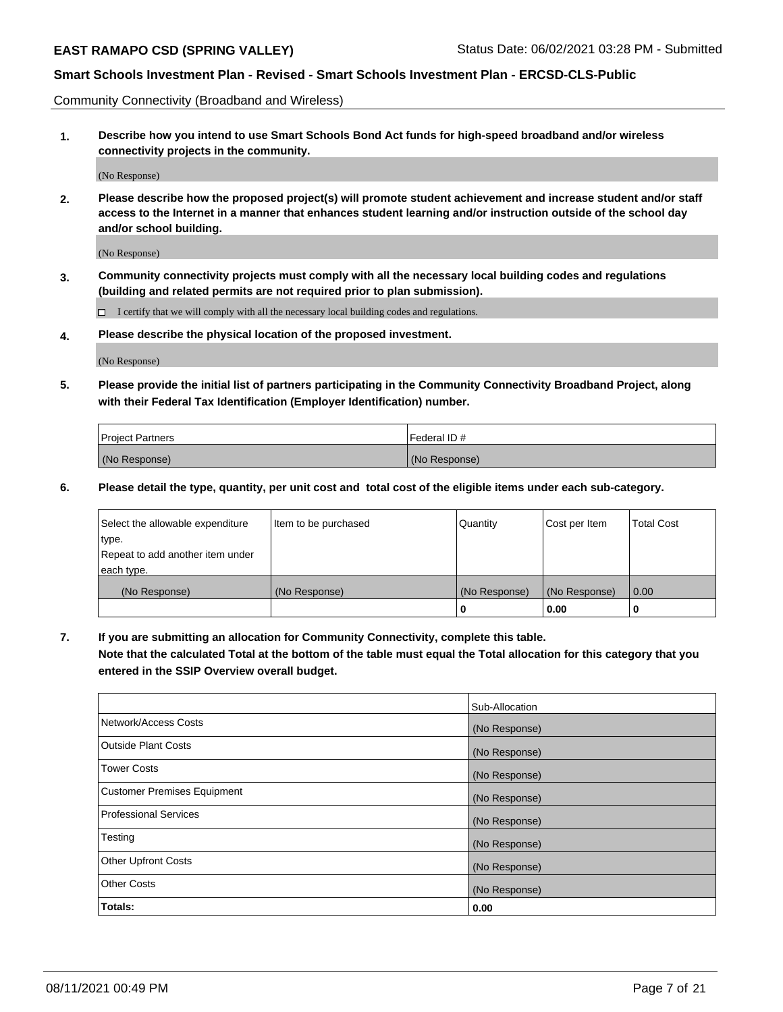Community Connectivity (Broadband and Wireless)

**1. Describe how you intend to use Smart Schools Bond Act funds for high-speed broadband and/or wireless connectivity projects in the community.**

(No Response)

**2. Please describe how the proposed project(s) will promote student achievement and increase student and/or staff access to the Internet in a manner that enhances student learning and/or instruction outside of the school day and/or school building.**

(No Response)

**3. Community connectivity projects must comply with all the necessary local building codes and regulations (building and related permits are not required prior to plan submission).**

 $\Box$  I certify that we will comply with all the necessary local building codes and regulations.

**4. Please describe the physical location of the proposed investment.**

(No Response)

**5. Please provide the initial list of partners participating in the Community Connectivity Broadband Project, along with their Federal Tax Identification (Employer Identification) number.**

| <b>Project Partners</b> | l Federal ID # |
|-------------------------|----------------|
| (No Response)           | (No Response)  |

**6. Please detail the type, quantity, per unit cost and total cost of the eligible items under each sub-category.**

| Select the allowable expenditure | Item to be purchased | Quantity      | Cost per Item | <b>Total Cost</b> |
|----------------------------------|----------------------|---------------|---------------|-------------------|
| type.                            |                      |               |               |                   |
| Repeat to add another item under |                      |               |               |                   |
| each type.                       |                      |               |               |                   |
| (No Response)                    | (No Response)        | (No Response) | (No Response) | 0.00              |
|                                  |                      | o             | 0.00          |                   |

**7. If you are submitting an allocation for Community Connectivity, complete this table.**

**Note that the calculated Total at the bottom of the table must equal the Total allocation for this category that you entered in the SSIP Overview overall budget.**

|                                    | Sub-Allocation |
|------------------------------------|----------------|
| Network/Access Costs               | (No Response)  |
| Outside Plant Costs                | (No Response)  |
| <b>Tower Costs</b>                 | (No Response)  |
| <b>Customer Premises Equipment</b> | (No Response)  |
| <b>Professional Services</b>       | (No Response)  |
| Testing                            | (No Response)  |
| <b>Other Upfront Costs</b>         | (No Response)  |
| <b>Other Costs</b>                 | (No Response)  |
| Totals:                            | 0.00           |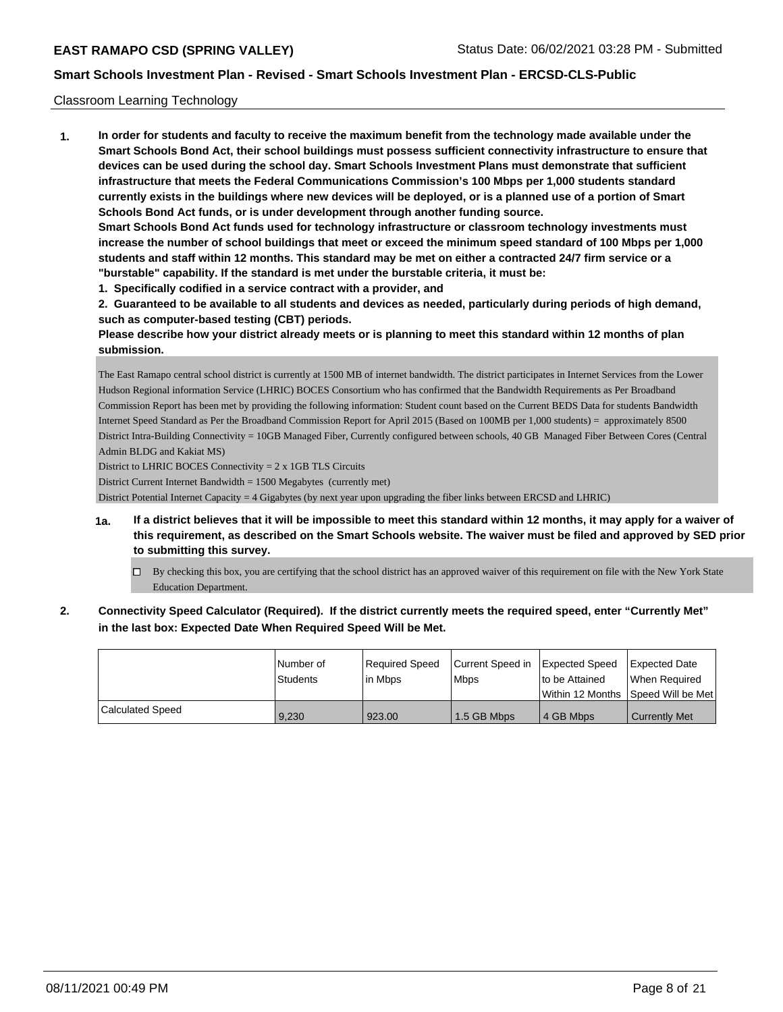## Classroom Learning Technology

**1. In order for students and faculty to receive the maximum benefit from the technology made available under the Smart Schools Bond Act, their school buildings must possess sufficient connectivity infrastructure to ensure that devices can be used during the school day. Smart Schools Investment Plans must demonstrate that sufficient infrastructure that meets the Federal Communications Commission's 100 Mbps per 1,000 students standard currently exists in the buildings where new devices will be deployed, or is a planned use of a portion of Smart Schools Bond Act funds, or is under development through another funding source. Smart Schools Bond Act funds used for technology infrastructure or classroom technology investments must increase the number of school buildings that meet or exceed the minimum speed standard of 100 Mbps per 1,000 students and staff within 12 months. This standard may be met on either a contracted 24/7 firm service or a**

- **"burstable" capability. If the standard is met under the burstable criteria, it must be:**
- **1. Specifically codified in a service contract with a provider, and**

**2. Guaranteed to be available to all students and devices as needed, particularly during periods of high demand, such as computer-based testing (CBT) periods.**

**Please describe how your district already meets or is planning to meet this standard within 12 months of plan submission.**

The East Ramapo central school district is currently at 1500 MB of internet bandwidth. The district participates in Internet Services from the Lower Hudson Regional information Service (LHRIC) BOCES Consortium who has confirmed that the Bandwidth Requirements as Per Broadband Commission Report has been met by providing the following information: Student count based on the Current BEDS Data for students Bandwidth Internet Speed Standard as Per the Broadband Commission Report for April 2015 (Based on 100MB per 1,000 students) = approximately 8500 District Intra-Building Connectivity = 10GB Managed Fiber, Currently configured between schools, 40 GB Managed Fiber Between Cores (Central Admin BLDG and Kakiat MS)

District to LHRIC BOCES Connectivity = 2 x 1GB TLS Circuits

District Current Internet Bandwidth = 1500 Megabytes (currently met)

District Potential Internet Capacity = 4 Gigabytes (by next year upon upgrading the fiber links between ERCSD and LHRIC)

- **1a. If a district believes that it will be impossible to meet this standard within 12 months, it may apply for a waiver of this requirement, as described on the Smart Schools website. The waiver must be filed and approved by SED prior to submitting this survey.**
	- By checking this box, you are certifying that the school district has an approved waiver of this requirement on file with the New York State Education Department.
- **2. Connectivity Speed Calculator (Required). If the district currently meets the required speed, enter "Currently Met" in the last box: Expected Date When Required Speed Will be Met.**

|                  | INumber of<br><b>Students</b> | Required Speed<br>in Mbps | Current Speed in Expected Speed<br><b>Mbps</b> | to be Attained | <b>Expected Date</b><br>When Required<br>Within 12 Months ISpeed Will be Met |
|------------------|-------------------------------|---------------------------|------------------------------------------------|----------------|------------------------------------------------------------------------------|
| Calculated Speed | 9.230                         | 923.00                    | 1.5 GB Mbps                                    | 4 GB Mbps      | <b>Currently Met</b>                                                         |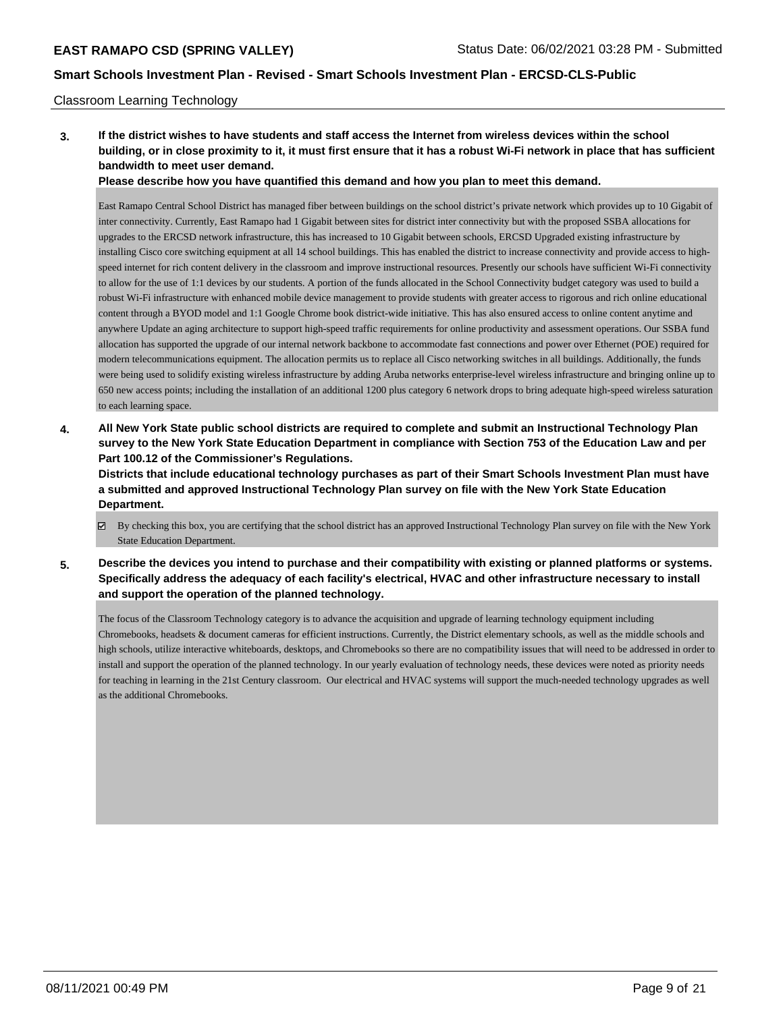### Classroom Learning Technology

**3. If the district wishes to have students and staff access the Internet from wireless devices within the school building, or in close proximity to it, it must first ensure that it has a robust Wi-Fi network in place that has sufficient bandwidth to meet user demand.**

**Please describe how you have quantified this demand and how you plan to meet this demand.**

East Ramapo Central School District has managed fiber between buildings on the school district's private network which provides up to 10 Gigabit of inter connectivity. Currently, East Ramapo had 1 Gigabit between sites for district inter connectivity but with the proposed SSBA allocations for upgrades to the ERCSD network infrastructure, this has increased to 10 Gigabit between schools, ERCSD Upgraded existing infrastructure by installing Cisco core switching equipment at all 14 school buildings. This has enabled the district to increase connectivity and provide access to highspeed internet for rich content delivery in the classroom and improve instructional resources. Presently our schools have sufficient Wi-Fi connectivity to allow for the use of 1:1 devices by our students. A portion of the funds allocated in the School Connectivity budget category was used to build a robust Wi-Fi infrastructure with enhanced mobile device management to provide students with greater access to rigorous and rich online educational content through a BYOD model and 1:1 Google Chrome book district-wide initiative. This has also ensured access to online content anytime and anywhere Update an aging architecture to support high-speed traffic requirements for online productivity and assessment operations. Our SSBA fund allocation has supported the upgrade of our internal network backbone to accommodate fast connections and power over Ethernet (POE) required for modern telecommunications equipment. The allocation permits us to replace all Cisco networking switches in all buildings. Additionally, the funds were being used to solidify existing wireless infrastructure by adding Aruba networks enterprise-level wireless infrastructure and bringing online up to 650 new access points; including the installation of an additional 1200 plus category 6 network drops to bring adequate high-speed wireless saturation to each learning space.

**4. All New York State public school districts are required to complete and submit an Instructional Technology Plan survey to the New York State Education Department in compliance with Section 753 of the Education Law and per Part 100.12 of the Commissioner's Regulations.**

**Districts that include educational technology purchases as part of their Smart Schools Investment Plan must have a submitted and approved Instructional Technology Plan survey on file with the New York State Education Department.**

- By checking this box, you are certifying that the school district has an approved Instructional Technology Plan survey on file with the New York State Education Department.
- **5. Describe the devices you intend to purchase and their compatibility with existing or planned platforms or systems. Specifically address the adequacy of each facility's electrical, HVAC and other infrastructure necessary to install and support the operation of the planned technology.**

The focus of the Classroom Technology category is to advance the acquisition and upgrade of learning technology equipment including Chromebooks, headsets & document cameras for efficient instructions. Currently, the District elementary schools, as well as the middle schools and high schools, utilize interactive whiteboards, desktops, and Chromebooks so there are no compatibility issues that will need to be addressed in order to install and support the operation of the planned technology. In our yearly evaluation of technology needs, these devices were noted as priority needs for teaching in learning in the 21st Century classroom. Our electrical and HVAC systems will support the much-needed technology upgrades as well as the additional Chromebooks.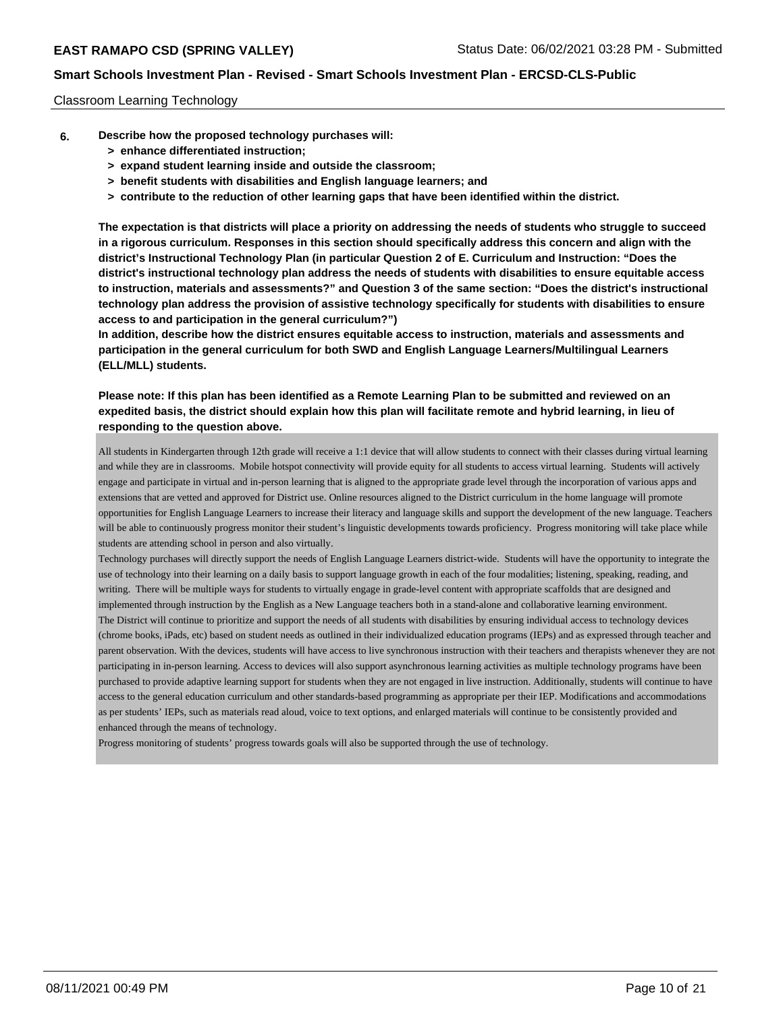### Classroom Learning Technology

- **6. Describe how the proposed technology purchases will:**
	- **> enhance differentiated instruction;**
	- **> expand student learning inside and outside the classroom;**
	- **> benefit students with disabilities and English language learners; and**
	- **> contribute to the reduction of other learning gaps that have been identified within the district.**

**The expectation is that districts will place a priority on addressing the needs of students who struggle to succeed in a rigorous curriculum. Responses in this section should specifically address this concern and align with the district's Instructional Technology Plan (in particular Question 2 of E. Curriculum and Instruction: "Does the district's instructional technology plan address the needs of students with disabilities to ensure equitable access to instruction, materials and assessments?" and Question 3 of the same section: "Does the district's instructional technology plan address the provision of assistive technology specifically for students with disabilities to ensure access to and participation in the general curriculum?")**

**In addition, describe how the district ensures equitable access to instruction, materials and assessments and participation in the general curriculum for both SWD and English Language Learners/Multilingual Learners (ELL/MLL) students.**

**Please note: If this plan has been identified as a Remote Learning Plan to be submitted and reviewed on an expedited basis, the district should explain how this plan will facilitate remote and hybrid learning, in lieu of responding to the question above.**

All students in Kindergarten through 12th grade will receive a 1:1 device that will allow students to connect with their classes during virtual learning and while they are in classrooms. Mobile hotspot connectivity will provide equity for all students to access virtual learning. Students will actively engage and participate in virtual and in-person learning that is aligned to the appropriate grade level through the incorporation of various apps and extensions that are vetted and approved for District use. Online resources aligned to the District curriculum in the home language will promote opportunities for English Language Learners to increase their literacy and language skills and support the development of the new language. Teachers will be able to continuously progress monitor their student's linguistic developments towards proficiency. Progress monitoring will take place while students are attending school in person and also virtually.

Technology purchases will directly support the needs of English Language Learners district-wide. Students will have the opportunity to integrate the use of technology into their learning on a daily basis to support language growth in each of the four modalities; listening, speaking, reading, and writing. There will be multiple ways for students to virtually engage in grade-level content with appropriate scaffolds that are designed and implemented through instruction by the English as a New Language teachers both in a stand-alone and collaborative learning environment. The District will continue to prioritize and support the needs of all students with disabilities by ensuring individual access to technology devices (chrome books, iPads, etc) based on student needs as outlined in their individualized education programs (IEPs) and as expressed through teacher and parent observation. With the devices, students will have access to live synchronous instruction with their teachers and therapists whenever they are not participating in in-person learning. Access to devices will also support asynchronous learning activities as multiple technology programs have been purchased to provide adaptive learning support for students when they are not engaged in live instruction. Additionally, students will continue to have access to the general education curriculum and other standards-based programming as appropriate per their IEP. Modifications and accommodations as per students' IEPs, such as materials read aloud, voice to text options, and enlarged materials will continue to be consistently provided and enhanced through the means of technology.

Progress monitoring of students' progress towards goals will also be supported through the use of technology.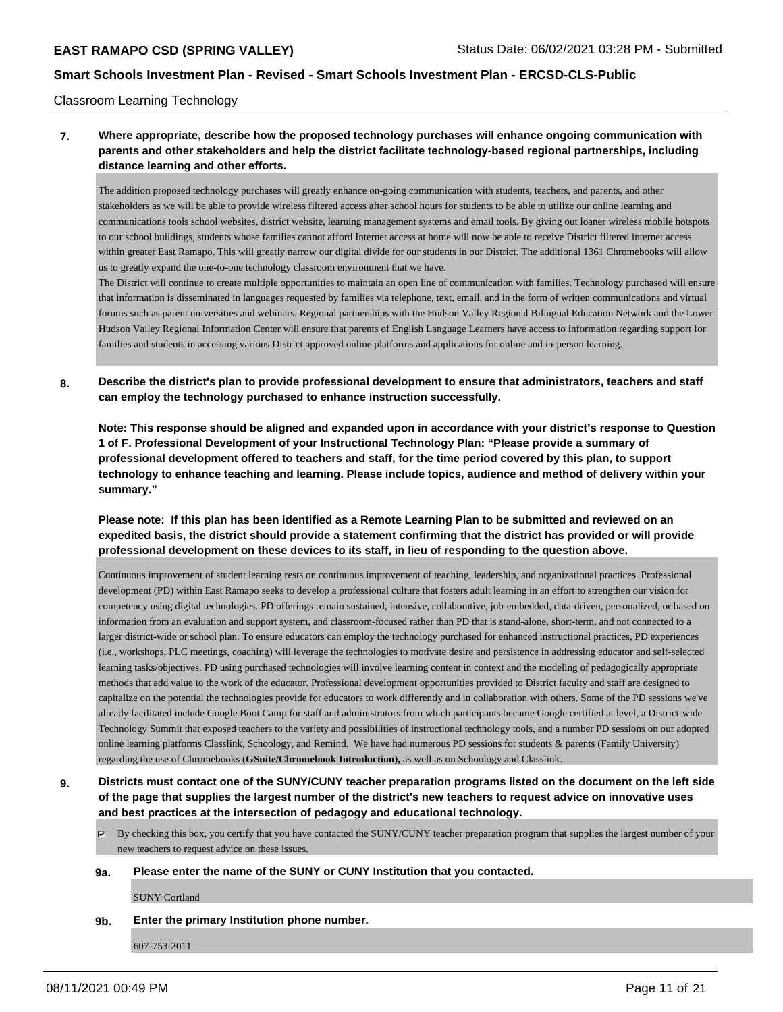#### Classroom Learning Technology

# **7. Where appropriate, describe how the proposed technology purchases will enhance ongoing communication with parents and other stakeholders and help the district facilitate technology-based regional partnerships, including distance learning and other efforts.**

The addition proposed technology purchases will greatly enhance on-going communication with students, teachers, and parents, and other stakeholders as we will be able to provide wireless filtered access after school hours for students to be able to utilize our online learning and communications tools school websites, district website, learning management systems and email tools. By giving out loaner wireless mobile hotspots to our school buildings, students whose families cannot afford Internet access at home will now be able to receive District filtered internet access within greater East Ramapo. This will greatly narrow our digital divide for our students in our District. The additional 1361 Chromebooks will allow us to greatly expand the one-to-one technology classroom environment that we have.

The District will continue to create multiple opportunities to maintain an open line of communication with families. Technology purchased will ensure that information is disseminated in languages requested by families via telephone, text, email, and in the form of written communications and virtual forums such as parent universities and webinars. Regional partnerships with the Hudson Valley Regional Bilingual Education Network and the Lower Hudson Valley Regional Information Center will ensure that parents of English Language Learners have access to information regarding support for families and students in accessing various District approved online platforms and applications for online and in-person learning.

**8. Describe the district's plan to provide professional development to ensure that administrators, teachers and staff can employ the technology purchased to enhance instruction successfully.**

**Note: This response should be aligned and expanded upon in accordance with your district's response to Question 1 of F. Professional Development of your Instructional Technology Plan: "Please provide a summary of professional development offered to teachers and staff, for the time period covered by this plan, to support technology to enhance teaching and learning. Please include topics, audience and method of delivery within your summary."**

**Please note: If this plan has been identified as a Remote Learning Plan to be submitted and reviewed on an expedited basis, the district should provide a statement confirming that the district has provided or will provide professional development on these devices to its staff, in lieu of responding to the question above.**

Continuous improvement of student learning rests on continuous improvement of teaching, leadership, and organizational practices. Professional development (PD) within East Ramapo seeks to develop a professional culture that fosters adult learning in an effort to strengthen our vision for competency using digital technologies. PD offerings remain sustained, intensive, collaborative, job-embedded, data-driven, personalized, or based on information from an evaluation and support system, and classroom-focused rather than PD that is stand-alone, short-term, and not connected to a larger district-wide or school plan. To ensure educators can employ the technology purchased for enhanced instructional practices, PD experiences (i.e., workshops, PLC meetings, coaching) will leverage the technologies to motivate desire and persistence in addressing educator and self-selected learning tasks/objectives. PD using purchased technologies will involve learning content in context and the modeling of pedagogically appropriate methods that add value to the work of the educator. Professional development opportunities provided to District faculty and staff are designed to capitalize on the potential the technologies provide for educators to work differently and in collaboration with others. Some of the PD sessions we've already facilitated include Google Boot Camp for staff and administrators from which participants became Google certified at level, a District-wide Technology Summit that exposed teachers to the variety and possibilities of instructional technology tools, and a number PD sessions on our adopted online learning platforms Classlink, Schoology, and Remind. We have had numerous PD sessions for students & parents (Family University) regarding the use of Chromebooks (**GSuite/Chromebook Introduction),** as well as on Schoology and Classlink.

**9. Districts must contact one of the SUNY/CUNY teacher preparation programs listed on the document on the left side of the page that supplies the largest number of the district's new teachers to request advice on innovative uses and best practices at the intersection of pedagogy and educational technology.**

 $\boxtimes$  By checking this box, you certify that you have contacted the SUNY/CUNY teacher preparation program that supplies the largest number of your new teachers to request advice on these issues.

#### **9a. Please enter the name of the SUNY or CUNY Institution that you contacted.**

SUNY Cortland

**9b. Enter the primary Institution phone number.**

607-753-2011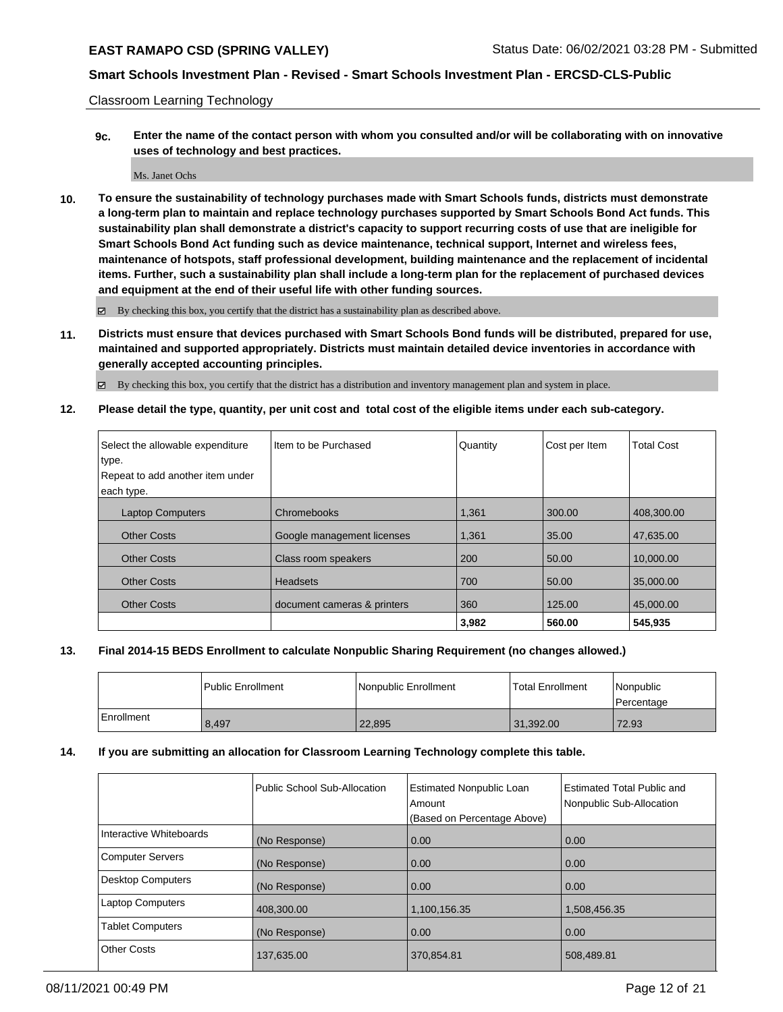Classroom Learning Technology

**9c. Enter the name of the contact person with whom you consulted and/or will be collaborating with on innovative uses of technology and best practices.**

Ms. Janet Ochs

**10. To ensure the sustainability of technology purchases made with Smart Schools funds, districts must demonstrate a long-term plan to maintain and replace technology purchases supported by Smart Schools Bond Act funds. This sustainability plan shall demonstrate a district's capacity to support recurring costs of use that are ineligible for Smart Schools Bond Act funding such as device maintenance, technical support, Internet and wireless fees, maintenance of hotspots, staff professional development, building maintenance and the replacement of incidental items. Further, such a sustainability plan shall include a long-term plan for the replacement of purchased devices and equipment at the end of their useful life with other funding sources.**

By checking this box, you certify that the district has a sustainability plan as described above.

**11. Districts must ensure that devices purchased with Smart Schools Bond funds will be distributed, prepared for use, maintained and supported appropriately. Districts must maintain detailed device inventories in accordance with generally accepted accounting principles.**

By checking this box, you certify that the district has a distribution and inventory management plan and system in place.

**12. Please detail the type, quantity, per unit cost and total cost of the eligible items under each sub-category.**

| Select the allowable expenditure | I Item to be Purchased      | Quantity | Cost per Item | <b>Total Cost</b> |
|----------------------------------|-----------------------------|----------|---------------|-------------------|
| type.                            |                             |          |               |                   |
| Repeat to add another item under |                             |          |               |                   |
| each type.                       |                             |          |               |                   |
| <b>Laptop Computers</b>          | Chromebooks                 | 1,361    | 300.00        | 408,300.00        |
| <b>Other Costs</b>               | Google management licenses  | 1,361    | 35.00         | 47.635.00         |
| <b>Other Costs</b>               | Class room speakers         | 200      | 50.00         | 10,000.00         |
| <b>Other Costs</b>               | <b>Headsets</b>             | 700      | 50.00         | 35,000.00         |
| <b>Other Costs</b>               | document cameras & printers | 360      | 125.00        | 45,000,00         |
|                                  |                             | 3,982    | 560.00        | 545.935           |

## **13. Final 2014-15 BEDS Enrollment to calculate Nonpublic Sharing Requirement (no changes allowed.)**

|            | l Public Enrollment | Nonpublic Enrollment | Total Enrollment | Nonpublic<br>l Percentage |
|------------|---------------------|----------------------|------------------|---------------------------|
| Enrollment | 8.497               | 22,895               | 31,392.00        | 72.93                     |

## **14. If you are submitting an allocation for Classroom Learning Technology complete this table.**

|                         | Public School Sub-Allocation | <b>Estimated Nonpublic Loan</b><br>Amount<br>(Based on Percentage Above) | Estimated Total Public and<br>Nonpublic Sub-Allocation |
|-------------------------|------------------------------|--------------------------------------------------------------------------|--------------------------------------------------------|
| Interactive Whiteboards | (No Response)                | 0.00                                                                     | 0.00                                                   |
| <b>Computer Servers</b> | (No Response)                | 0.00                                                                     | 0.00                                                   |
| Desktop Computers       | (No Response)                | 0.00                                                                     | 0.00                                                   |
| <b>Laptop Computers</b> | 408,300.00                   | 1,100,156.35                                                             | 1,508,456.35                                           |
| <b>Tablet Computers</b> | (No Response)                | 0.00                                                                     | 0.00                                                   |
| <b>Other Costs</b>      | 137,635.00                   | 370,854.81                                                               | 508,489.81                                             |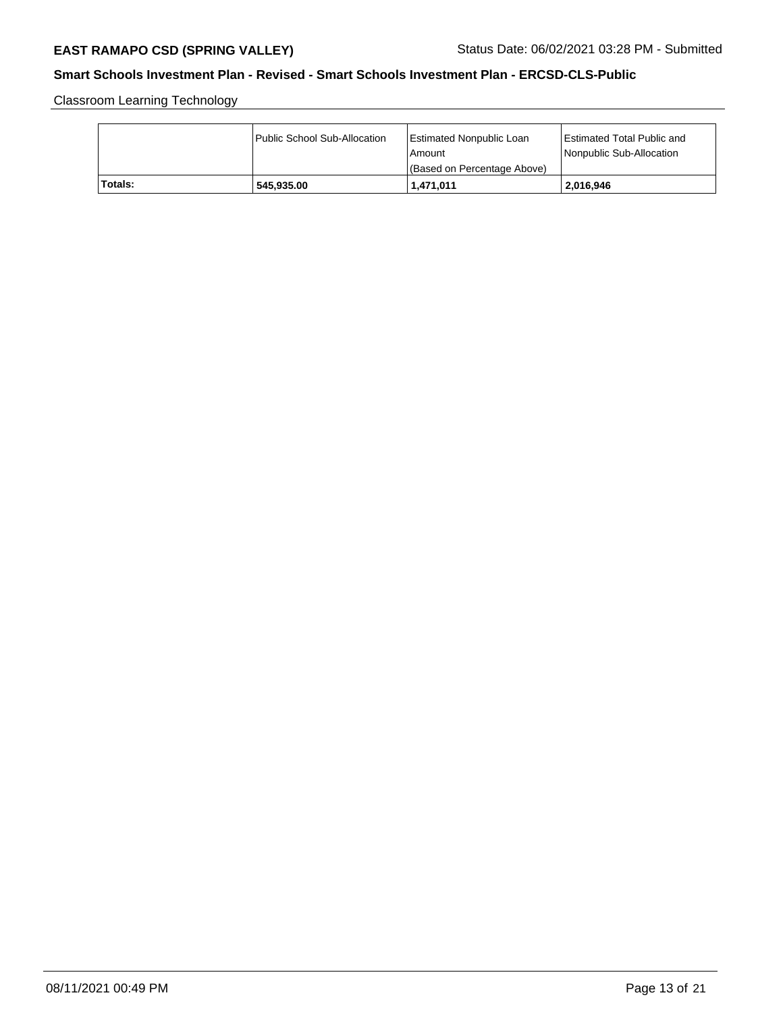Classroom Learning Technology

|         | Public School Sub-Allocation | Estimated Nonpublic Loan<br>l Amount<br>(Based on Percentage Above) | <b>Estimated Total Public and</b><br>Nonpublic Sub-Allocation |
|---------|------------------------------|---------------------------------------------------------------------|---------------------------------------------------------------|
| Totals: | 545.935.00                   | 1,471,011                                                           | 2,016,946                                                     |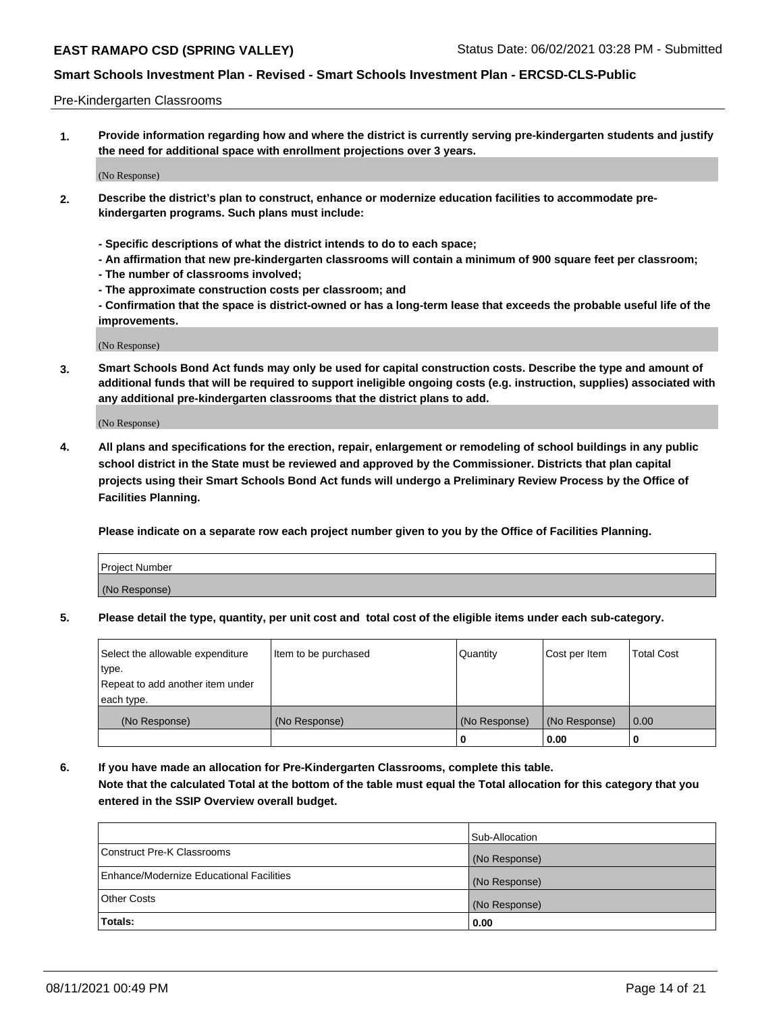### Pre-Kindergarten Classrooms

**1. Provide information regarding how and where the district is currently serving pre-kindergarten students and justify the need for additional space with enrollment projections over 3 years.**

(No Response)

- **2. Describe the district's plan to construct, enhance or modernize education facilities to accommodate prekindergarten programs. Such plans must include:**
	- **Specific descriptions of what the district intends to do to each space;**
	- **An affirmation that new pre-kindergarten classrooms will contain a minimum of 900 square feet per classroom;**
	- **The number of classrooms involved;**
	- **The approximate construction costs per classroom; and**
	- **Confirmation that the space is district-owned or has a long-term lease that exceeds the probable useful life of the improvements.**

(No Response)

**3. Smart Schools Bond Act funds may only be used for capital construction costs. Describe the type and amount of additional funds that will be required to support ineligible ongoing costs (e.g. instruction, supplies) associated with any additional pre-kindergarten classrooms that the district plans to add.**

(No Response)

**4. All plans and specifications for the erection, repair, enlargement or remodeling of school buildings in any public school district in the State must be reviewed and approved by the Commissioner. Districts that plan capital projects using their Smart Schools Bond Act funds will undergo a Preliminary Review Process by the Office of Facilities Planning.**

**Please indicate on a separate row each project number given to you by the Office of Facilities Planning.**

| Project Number |  |
|----------------|--|
| (No Response)  |  |
|                |  |

**5. Please detail the type, quantity, per unit cost and total cost of the eligible items under each sub-category.**

| Select the allowable expenditure | Item to be purchased | Quantity      | Cost per Item | <b>Total Cost</b> |
|----------------------------------|----------------------|---------------|---------------|-------------------|
| type.                            |                      |               |               |                   |
| Repeat to add another item under |                      |               |               |                   |
| each type.                       |                      |               |               |                   |
| (No Response)                    | (No Response)        | (No Response) | (No Response) | 0.00              |
|                                  |                      | o             | 0.00          | u                 |

**6. If you have made an allocation for Pre-Kindergarten Classrooms, complete this table. Note that the calculated Total at the bottom of the table must equal the Total allocation for this category that you entered in the SSIP Overview overall budget.**

| Totals:                                  | 0.00           |
|------------------------------------------|----------------|
| <b>Other Costs</b>                       | (No Response)  |
| Enhance/Modernize Educational Facilities | (No Response)  |
| Construct Pre-K Classrooms               | (No Response)  |
|                                          | Sub-Allocation |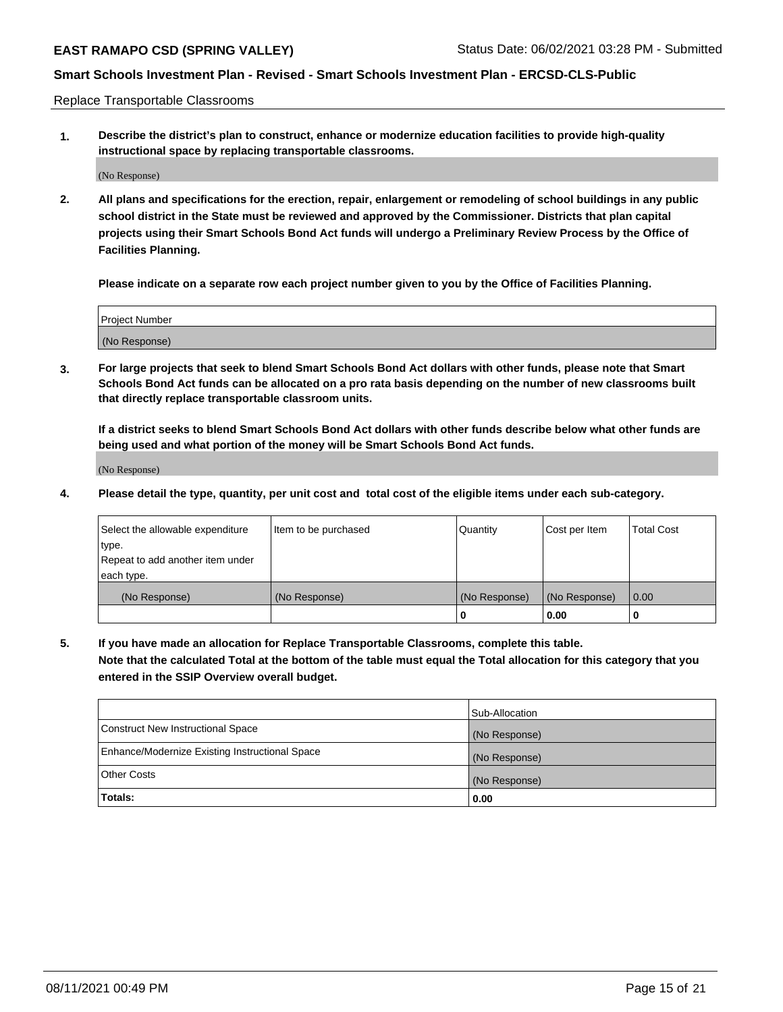Replace Transportable Classrooms

**1. Describe the district's plan to construct, enhance or modernize education facilities to provide high-quality instructional space by replacing transportable classrooms.**

(No Response)

**2. All plans and specifications for the erection, repair, enlargement or remodeling of school buildings in any public school district in the State must be reviewed and approved by the Commissioner. Districts that plan capital projects using their Smart Schools Bond Act funds will undergo a Preliminary Review Process by the Office of Facilities Planning.**

**Please indicate on a separate row each project number given to you by the Office of Facilities Planning.**

| Project Number |  |
|----------------|--|
|                |  |
| (No Response)  |  |

**3. For large projects that seek to blend Smart Schools Bond Act dollars with other funds, please note that Smart Schools Bond Act funds can be allocated on a pro rata basis depending on the number of new classrooms built that directly replace transportable classroom units.**

**If a district seeks to blend Smart Schools Bond Act dollars with other funds describe below what other funds are being used and what portion of the money will be Smart Schools Bond Act funds.**

(No Response)

**4. Please detail the type, quantity, per unit cost and total cost of the eligible items under each sub-category.**

| Select the allowable expenditure           | Item to be purchased | Quantity      | Cost per Item | <b>Total Cost</b> |
|--------------------------------------------|----------------------|---------------|---------------|-------------------|
| ∣type.<br>Repeat to add another item under |                      |               |               |                   |
| each type.                                 |                      |               |               |                   |
| (No Response)                              | (No Response)        | (No Response) | (No Response) | 0.00              |
|                                            |                      | 0             | 0.00          |                   |

**5. If you have made an allocation for Replace Transportable Classrooms, complete this table. Note that the calculated Total at the bottom of the table must equal the Total allocation for this category that you entered in the SSIP Overview overall budget.**

|                                                | Sub-Allocation |
|------------------------------------------------|----------------|
| Construct New Instructional Space              | (No Response)  |
| Enhance/Modernize Existing Instructional Space | (No Response)  |
| Other Costs                                    | (No Response)  |
| Totals:                                        | 0.00           |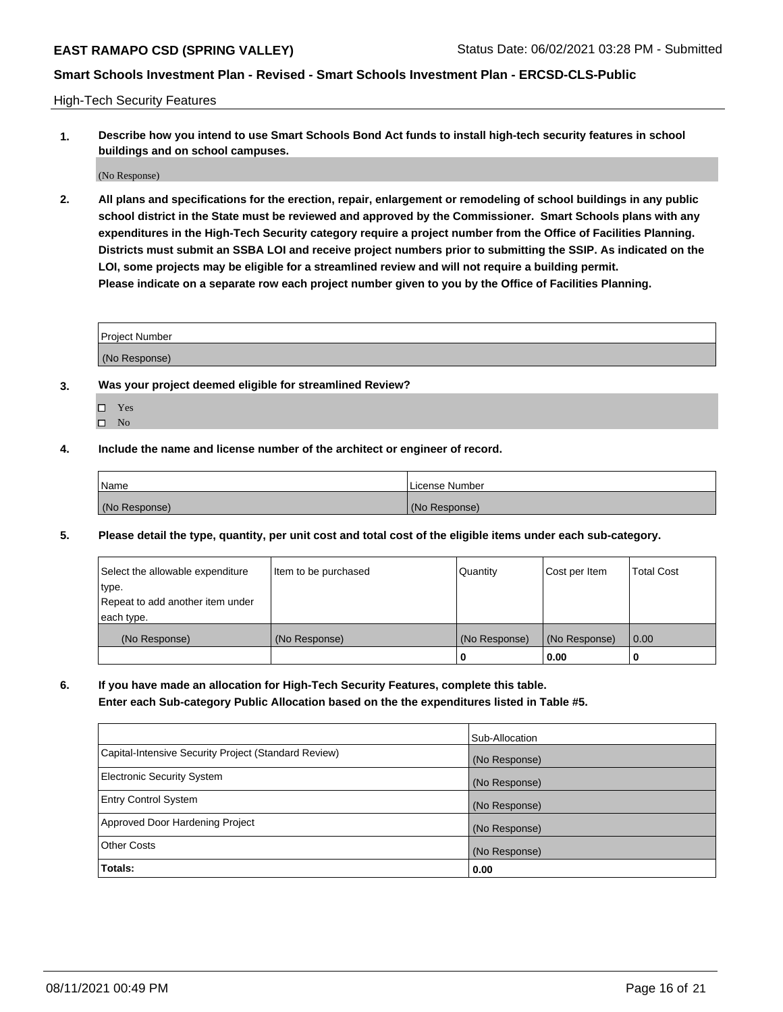High-Tech Security Features

**1. Describe how you intend to use Smart Schools Bond Act funds to install high-tech security features in school buildings and on school campuses.**

(No Response)

**2. All plans and specifications for the erection, repair, enlargement or remodeling of school buildings in any public school district in the State must be reviewed and approved by the Commissioner. Smart Schools plans with any expenditures in the High-Tech Security category require a project number from the Office of Facilities Planning. Districts must submit an SSBA LOI and receive project numbers prior to submitting the SSIP. As indicated on the LOI, some projects may be eligible for a streamlined review and will not require a building permit. Please indicate on a separate row each project number given to you by the Office of Facilities Planning.**

| <b>Project Number</b> |  |
|-----------------------|--|
| (No Response)         |  |

- **3. Was your project deemed eligible for streamlined Review?**
	- Yes
	- $\hfill \square$  No
- **4. Include the name and license number of the architect or engineer of record.**

| Name          | License Number |
|---------------|----------------|
| (No Response) | (No Response)  |

**5. Please detail the type, quantity, per unit cost and total cost of the eligible items under each sub-category.**

| Select the allowable expenditure | Item to be purchased | Quantity      | Cost per Item | <b>Total Cost</b> |
|----------------------------------|----------------------|---------------|---------------|-------------------|
| 'type.                           |                      |               |               |                   |
| Repeat to add another item under |                      |               |               |                   |
| each type.                       |                      |               |               |                   |
| (No Response)                    | (No Response)        | (No Response) | (No Response) | 0.00              |
|                                  |                      | U             | 0.00          |                   |

**6. If you have made an allocation for High-Tech Security Features, complete this table.**

**Enter each Sub-category Public Allocation based on the the expenditures listed in Table #5.**

|                                                      | Sub-Allocation |
|------------------------------------------------------|----------------|
| Capital-Intensive Security Project (Standard Review) | (No Response)  |
| <b>Electronic Security System</b>                    | (No Response)  |
| <b>Entry Control System</b>                          | (No Response)  |
| Approved Door Hardening Project                      | (No Response)  |
| <b>Other Costs</b>                                   | (No Response)  |
| <b>Totals:</b>                                       | 0.00           |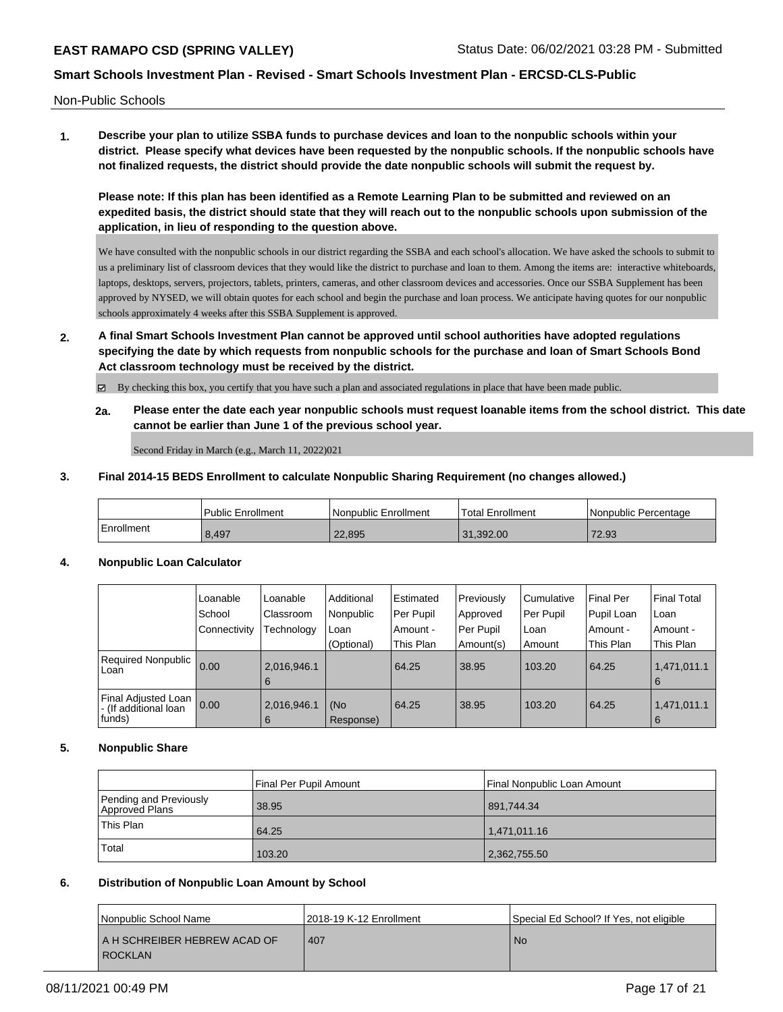Non-Public Schools

**1. Describe your plan to utilize SSBA funds to purchase devices and loan to the nonpublic schools within your district. Please specify what devices have been requested by the nonpublic schools. If the nonpublic schools have not finalized requests, the district should provide the date nonpublic schools will submit the request by.**

**Please note: If this plan has been identified as a Remote Learning Plan to be submitted and reviewed on an expedited basis, the district should state that they will reach out to the nonpublic schools upon submission of the application, in lieu of responding to the question above.**

We have consulted with the nonpublic schools in our district regarding the SSBA and each school's allocation. We have asked the schools to submit to us a preliminary list of classroom devices that they would like the district to purchase and loan to them. Among the items are: interactive whiteboards, laptops, desktops, servers, projectors, tablets, printers, cameras, and other classroom devices and accessories. Once our SSBA Supplement has been approved by NYSED, we will obtain quotes for each school and begin the purchase and loan process. We anticipate having quotes for our nonpublic schools approximately 4 weeks after this SSBA Supplement is approved.

**2. A final Smart Schools Investment Plan cannot be approved until school authorities have adopted regulations specifying the date by which requests from nonpublic schools for the purchase and loan of Smart Schools Bond Act classroom technology must be received by the district.**

By checking this box, you certify that you have such a plan and associated regulations in place that have been made public.

**2a. Please enter the date each year nonpublic schools must request loanable items from the school district. This date cannot be earlier than June 1 of the previous school year.**

Second Friday in March (e.g., March 11, 2022)021

### **3. Final 2014-15 BEDS Enrollment to calculate Nonpublic Sharing Requirement (no changes allowed.)**

|            | <b>Public Enrollment</b> | l Nonpublic Enrollment | <sup>1</sup> Total Enrollment | l Nonpublic Percentage |
|------------|--------------------------|------------------------|-------------------------------|------------------------|
| Enrollment | 8,497                    | 22,895                 | 31.392.00                     | 72.93                  |

# **4. Nonpublic Loan Calculator**

|                                                         | Loanable     | Loanable         | Additional       | Estimated | Previously | Cumulative | <b>Final Per</b> | l Final Total      |
|---------------------------------------------------------|--------------|------------------|------------------|-----------|------------|------------|------------------|--------------------|
|                                                         | School       | Classroom        | Nonpublic        | Per Pupil | Approved   | Per Pupil  | Pupil Loan       | ⊺Loan              |
|                                                         | Connectivity | Technology       | Loan             | Amount -  | Per Pupil  | Loan       | Amount -         | Amount -           |
|                                                         |              |                  | (Optional)       | This Plan | Amount(s)  | Amount     | This Plan        | This Plan          |
| Required Nonpublic 0.00<br>Loan                         |              | 2,016,946.1<br>6 |                  | 64.25     | 38.95      | 103.20     | 64.25            | 1,471,011.1<br>l 6 |
| Final Adjusted Loan<br>- (If additional loan<br> funds) | 0.00         | 2,016,946.1<br>6 | (No<br>Response) | 64.25     | 38.95      | 103.20     | 64.25            | 1,471,011.1<br>l 6 |

## **5. Nonpublic Share**

|                                          | Final Per Pupil Amount | Final Nonpublic Loan Amount |
|------------------------------------------|------------------------|-----------------------------|
| Pending and Previously<br>Approved Plans | 38.95                  | 891.744.34                  |
| This Plan                                | 64.25                  | 1.471.011.16                |
| Total                                    | 103.20                 | 2,362,755.50                |

## **6. Distribution of Nonpublic Loan Amount by School**

| Nonpublic School Name        | 2018-19 K-12 Enrollment | Special Ed School? If Yes, not eligible |
|------------------------------|-------------------------|-----------------------------------------|
| A H SCHREIBER HEBREW ACAD OF | 407                     | <b>No</b>                               |
| <b>ROCKLAN</b>               |                         |                                         |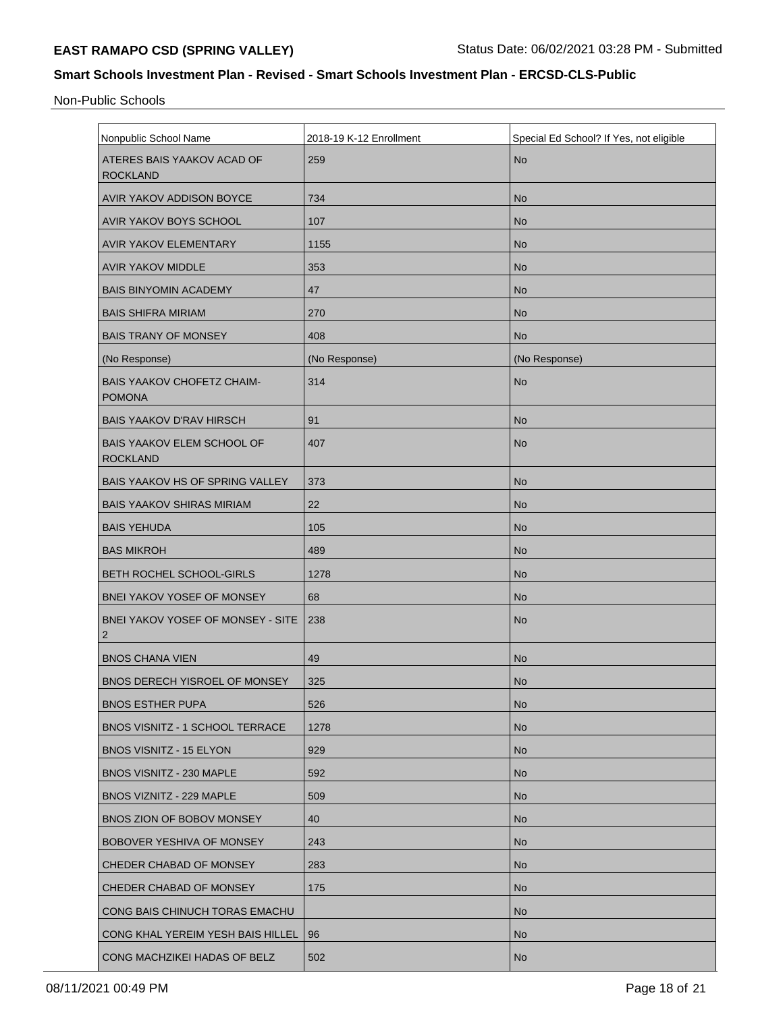Non-Public Schools

| Nonpublic School Name                                | 2018-19 K-12 Enrollment | Special Ed School? If Yes, not eligible |
|------------------------------------------------------|-------------------------|-----------------------------------------|
| ATERES BAIS YAAKOV ACAD OF<br><b>ROCKLAND</b>        | 259                     | <b>No</b>                               |
| AVIR YAKOV ADDISON BOYCE                             | 734                     | <b>No</b>                               |
| AVIR YAKOV BOYS SCHOOL                               | 107                     | <b>No</b>                               |
| AVIR YAKOV ELEMENTARY                                | 1155                    | <b>No</b>                               |
| <b>AVIR YAKOV MIDDLE</b>                             | 353                     | <b>No</b>                               |
| <b>BAIS BINYOMIN ACADEMY</b>                         | 47                      | <b>No</b>                               |
| <b>BAIS SHIFRA MIRIAM</b>                            | 270                     | <b>No</b>                               |
| <b>BAIS TRANY OF MONSEY</b>                          | 408                     | <b>No</b>                               |
| (No Response)                                        | (No Response)           | (No Response)                           |
| <b>BAIS YAAKOV CHOFETZ CHAIM-</b><br><b>POMONA</b>   | 314                     | <b>No</b>                               |
| <b>BAIS YAAKOV D'RAV HIRSCH</b>                      | 91                      | <b>No</b>                               |
| <b>BAIS YAAKOV ELEM SCHOOL OF</b><br><b>ROCKLAND</b> | 407                     | <b>No</b>                               |
| BAIS YAAKOV HS OF SPRING VALLEY                      | 373                     | <b>No</b>                               |
| <b>BAIS YAAKOV SHIRAS MIRIAM</b>                     | 22                      | <b>No</b>                               |
| <b>BAIS YEHUDA</b>                                   | 105                     | <b>No</b>                               |
| <b>BAS MIKROH</b>                                    | 489                     | <b>No</b>                               |
| BETH ROCHEL SCHOOL-GIRLS                             | 1278                    | <b>No</b>                               |
| BNEI YAKOV YOSEF OF MONSEY                           | 68                      | <b>No</b>                               |
| <b>BNEI YAKOV YOSEF OF MONSEY - SITE</b><br>2        | 238                     | <b>No</b>                               |
| <b>BNOS CHANA VIEN</b>                               | 49                      | <b>No</b>                               |
| BNOS DERECH YISROEL OF MONSEY                        | 325                     | <b>No</b>                               |
| <b>BNOS ESTHER PUPA</b>                              | 526                     | <b>No</b>                               |
| BNOS VISNITZ - 1 SCHOOL TERRACE                      | 1278                    | <b>No</b>                               |
| BNOS VISNITZ - 15 ELYON                              | 929                     | <b>No</b>                               |
| BNOS VISNITZ - 230 MAPLE                             | 592                     | <b>No</b>                               |
| BNOS VIZNITZ - 229 MAPLE                             | 509                     | <b>No</b>                               |
| BNOS ZION OF BOBOV MONSEY                            | 40                      | <b>No</b>                               |
| BOBOVER YESHIVA OF MONSEY                            | 243                     | <b>No</b>                               |
| CHEDER CHABAD OF MONSEY                              | 283                     | <b>No</b>                               |
| CHEDER CHABAD OF MONSEY                              | 175                     | <b>No</b>                               |
| CONG BAIS CHINUCH TORAS EMACHU                       |                         | <b>No</b>                               |
| CONG KHAL YEREIM YESH BAIS HILLEL                    | 96                      | <b>No</b>                               |
| CONG MACHZIKEI HADAS OF BELZ                         | 502                     | <b>No</b>                               |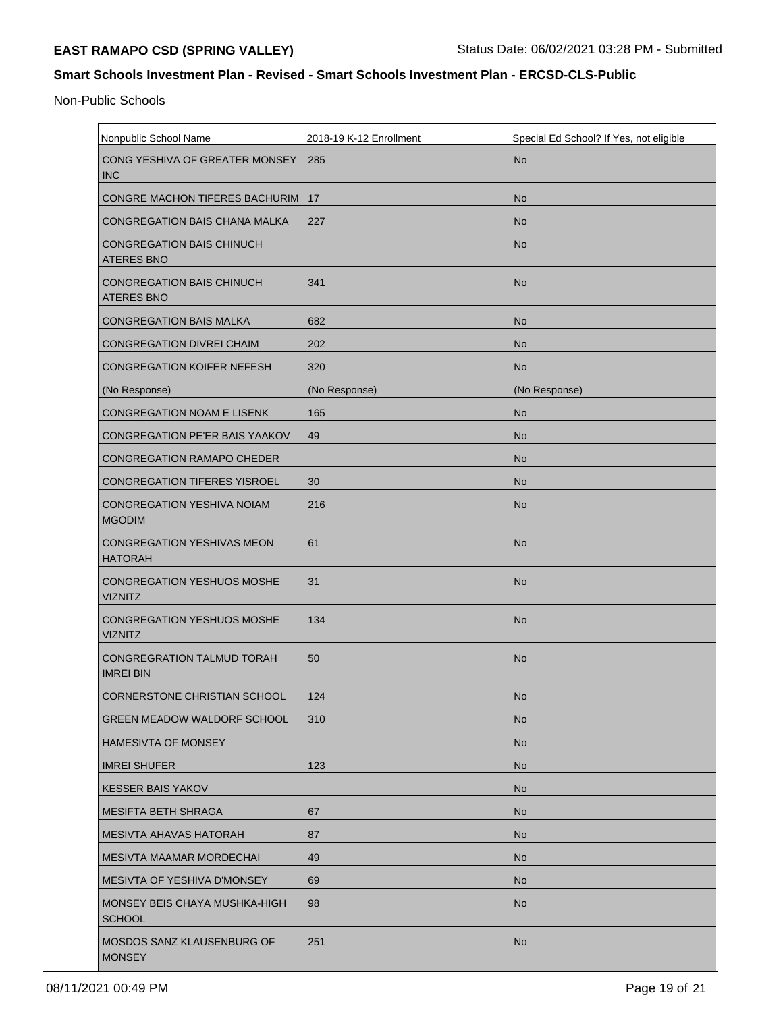Non-Public Schools

| Nonpublic School Name                                 | 2018-19 K-12 Enrollment | Special Ed School? If Yes, not eligible |  |  |
|-------------------------------------------------------|-------------------------|-----------------------------------------|--|--|
| CONG YESHIVA OF GREATER MONSEY<br><b>INC</b>          | 285                     | <b>No</b>                               |  |  |
| CONGRE MACHON TIFERES BACHURIM                        | 17                      | <b>No</b>                               |  |  |
| CONGREGATION BAIS CHANA MALKA                         | 227                     | <b>No</b>                               |  |  |
| <b>CONGREGATION BAIS CHINUCH</b><br><b>ATERES BNO</b> |                         | <b>No</b>                               |  |  |
| <b>CONGREGATION BAIS CHINUCH</b><br><b>ATERES BNO</b> | 341                     | <b>No</b>                               |  |  |
| <b>CONGREGATION BAIS MALKA</b>                        | 682                     | <b>No</b>                               |  |  |
| <b>CONGREGATION DIVREI CHAIM</b>                      | 202                     | <b>No</b>                               |  |  |
| <b>CONGREGATION KOIFER NEFESH</b>                     | 320                     | <b>No</b>                               |  |  |
| (No Response)                                         | (No Response)           | (No Response)                           |  |  |
| CONGREGATION NOAM E LISENK                            | 165                     | <b>No</b>                               |  |  |
| CONGREGATION PE'ER BAIS YAAKOV                        | 49                      | <b>No</b>                               |  |  |
| <b>CONGREGATION RAMAPO CHEDER</b>                     |                         | <b>No</b>                               |  |  |
| <b>CONGREGATION TIFERES YISROEL</b>                   | 30                      | <b>No</b>                               |  |  |
| <b>CONGREGATION YESHIVA NOIAM</b><br><b>MGODIM</b>    | 216                     | <b>No</b>                               |  |  |
| <b>CONGREGATION YESHIVAS MEON</b><br><b>HATORAH</b>   | 61                      | <b>No</b>                               |  |  |
| <b>CONGREGATION YESHUOS MOSHE</b><br><b>VIZNITZ</b>   | 31                      | <b>No</b>                               |  |  |
| <b>CONGREGATION YESHUOS MOSHE</b><br><b>VIZNITZ</b>   | 134                     | <b>No</b>                               |  |  |
| <b>CONGREGRATION TALMUD TORAH</b><br><b>IMREI BIN</b> | 50                      | <b>No</b>                               |  |  |
| CORNERSTONE CHRISTIAN SCHOOL                          | 124                     | No                                      |  |  |
| <b>GREEN MEADOW WALDORF SCHOOL</b>                    | 310                     | <b>No</b>                               |  |  |
| <b>HAMESIVTA OF MONSEY</b>                            |                         | <b>No</b>                               |  |  |
| <b>IMREI SHUFER</b>                                   | 123                     | <b>No</b>                               |  |  |
| <b>KESSER BAIS YAKOV</b>                              |                         | <b>No</b>                               |  |  |
| <b>MESIFTA BETH SHRAGA</b>                            | 67                      | <b>No</b>                               |  |  |
| <b>MESIVTA AHAVAS HATORAH</b>                         | 87                      | <b>No</b>                               |  |  |
| <b>MESIVTA MAAMAR MORDECHAI</b>                       | 49                      | <b>No</b>                               |  |  |
| <b>MESIVTA OF YESHIVA D'MONSEY</b>                    | 69                      | <b>No</b>                               |  |  |
| MONSEY BEIS CHAYA MUSHKA-HIGH<br><b>SCHOOL</b>        | 98                      | <b>No</b>                               |  |  |
| MOSDOS SANZ KLAUSENBURG OF<br><b>MONSEY</b>           | 251                     | <b>No</b>                               |  |  |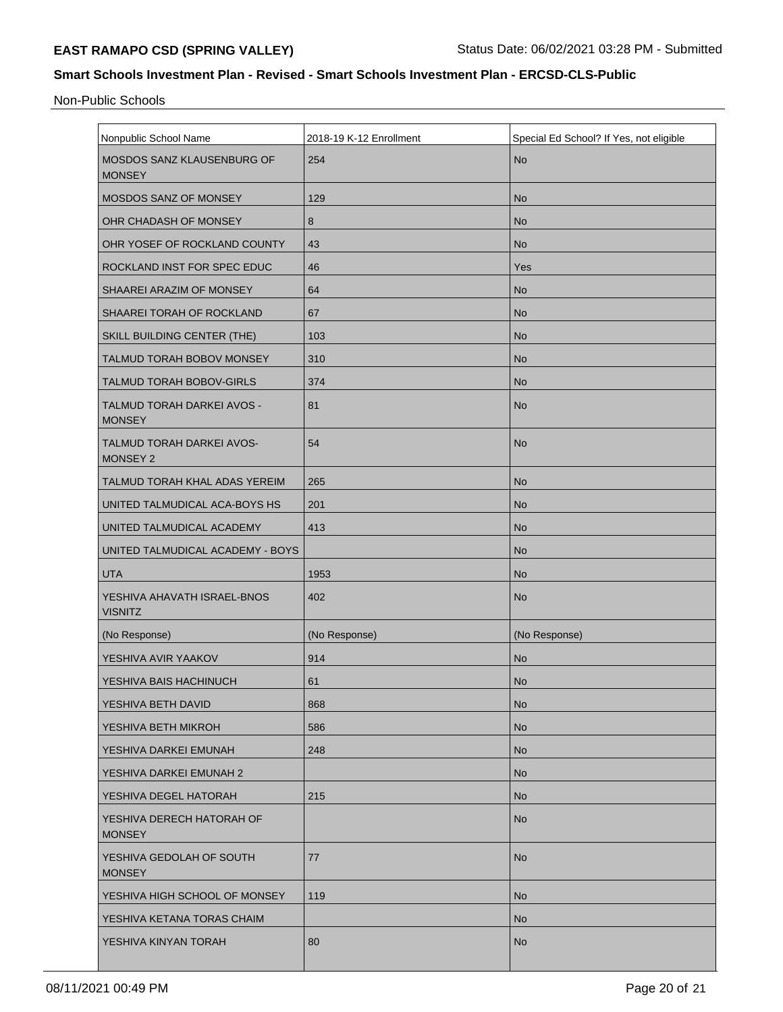Non-Public Schools

| Nonpublic School Name                               | 2018-19 K-12 Enrollment | Special Ed School? If Yes, not eligible |  |  |
|-----------------------------------------------------|-------------------------|-----------------------------------------|--|--|
| <b>MOSDOS SANZ KLAUSENBURG OF</b><br><b>MONSEY</b>  | 254                     | <b>No</b>                               |  |  |
| MOSDOS SANZ OF MONSEY                               | 129                     | <b>No</b>                               |  |  |
| OHR CHADASH OF MONSEY                               | 8                       | <b>No</b>                               |  |  |
| OHR YOSEF OF ROCKLAND COUNTY                        | 43                      | <b>No</b>                               |  |  |
| ROCKLAND INST FOR SPEC EDUC                         | 46                      | Yes                                     |  |  |
| SHAAREI ARAZIM OF MONSEY                            | 64                      | <b>No</b>                               |  |  |
| SHAAREI TORAH OF ROCKLAND                           | 67                      | <b>No</b>                               |  |  |
| SKILL BUILDING CENTER (THE)                         | 103                     | <b>No</b>                               |  |  |
| TALMUD TORAH BOBOV MONSEY                           | 310                     | <b>No</b>                               |  |  |
| TALMUD TORAH BOBOV-GIRLS                            | 374                     | <b>No</b>                               |  |  |
| TALMUD TORAH DARKEI AVOS -<br><b>MONSEY</b>         | 81                      | <b>No</b>                               |  |  |
| <b>TALMUD TORAH DARKEI AVOS-</b><br><b>MONSEY 2</b> | 54                      | <b>No</b>                               |  |  |
| TALMUD TORAH KHAL ADAS YEREIM                       | 265                     | <b>No</b>                               |  |  |
| UNITED TALMUDICAL ACA-BOYS HS                       | 201                     | <b>No</b>                               |  |  |
| UNITED TALMUDICAL ACADEMY                           | 413                     | <b>No</b>                               |  |  |
| UNITED TALMUDICAL ACADEMY - BOYS                    |                         | <b>No</b>                               |  |  |
| <b>UTA</b>                                          | 1953                    | <b>No</b>                               |  |  |
| YESHIVA AHAVATH ISRAEL-BNOS<br><b>VISNITZ</b>       | 402                     | <b>No</b>                               |  |  |
| (No Response)                                       | (No Response)           | (No Response)                           |  |  |
| YESHIVA AVIR YAAKOV                                 | 914                     | <b>No</b>                               |  |  |
| YESHIVA BAIS HACHINUCH                              | 61                      | <b>No</b>                               |  |  |
| YESHIVA BETH DAVID                                  | 868                     | <b>No</b>                               |  |  |
| YESHIVA BETH MIKROH                                 | 586                     | <b>No</b>                               |  |  |
| YESHIVA DARKEI EMUNAH                               | 248                     | <b>No</b>                               |  |  |
| YESHIVA DARKEI EMUNAH 2                             |                         | <b>No</b>                               |  |  |
| YESHIVA DEGEL HATORAH                               | 215                     | <b>No</b>                               |  |  |
| YESHIVA DERECH HATORAH OF<br><b>MONSEY</b>          |                         | <b>No</b>                               |  |  |
| YESHIVA GEDOLAH OF SOUTH<br><b>MONSEY</b>           | 77                      | <b>No</b>                               |  |  |
| YESHIVA HIGH SCHOOL OF MONSEY                       | 119                     | <b>No</b>                               |  |  |
| YESHIVA KETANA TORAS CHAIM                          |                         | <b>No</b>                               |  |  |
| YESHIVA KINYAN TORAH                                | 80                      | <b>No</b>                               |  |  |